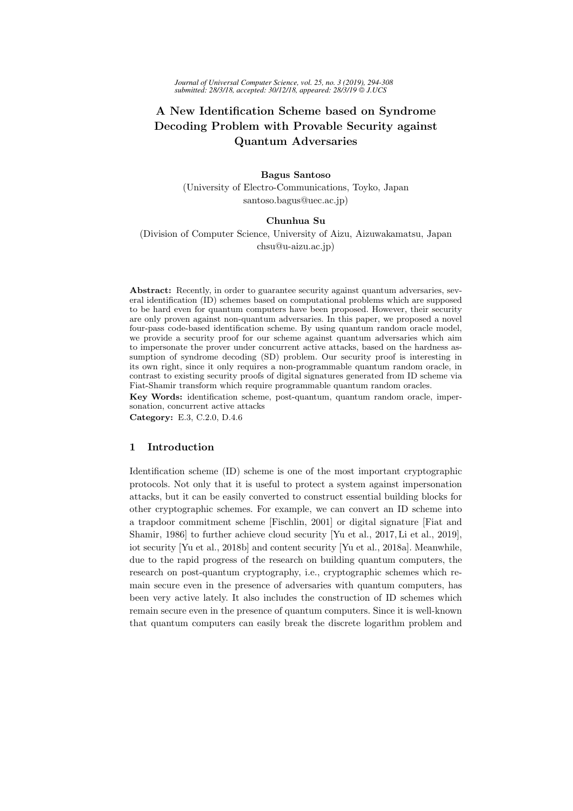# A New Identification Scheme based on Syndrome Decoding Problem with Provable Security against Quantum Adversaries

## Bagus Santoso

(University of Electro-Communications, Toyko, Japan santoso.bagus@uec.ac.jp)

## Chunhua Su

(Division of Computer Science, University of Aizu, Aizuwakamatsu, Japan chsu@u-aizu.ac.jp)

Abstract: Recently, in order to guarantee security against quantum adversaries, several identification (ID) schemes based on computational problems which are supposed to be hard even for quantum computers have been proposed. However, their security are only proven against non-quantum adversaries. In this paper, we proposed a novel four-pass code-based identification scheme. By using quantum random oracle model, we provide a security proof for our scheme against quantum adversaries which aim to impersonate the prover under concurrent active attacks, based on the hardness assumption of syndrome decoding (SD) problem. Our security proof is interesting in its own right, since it only requires a non-programmable quantum random oracle, in contrast to existing security proofs of digital signatures generated from ID scheme via Fiat-Shamir transform which require programmable quantum random oracles.

Key Words: identification scheme, post-quantum, quantum random oracle, impersonation, concurrent active attacks

Category: E.3, C.2.0, D.4.6

# 1 Introduction

Identification scheme (ID) scheme is one of the most important cryptographic protocols. Not only that it is useful to protect a system against impersonation attacks, but it can be easily converted to construct essential building blocks for other cryptographic schemes. For example, we can convert an ID scheme into a trapdoor commitment scheme [Fischlin, 2001] or digital signature [Fiat and Shamir, 1986] to further achieve cloud security [Yu et al., 2017, Li et al., 2019], iot security [Yu et al., 2018b] and content security [Yu et al., 2018a]. Meanwhile, due to the rapid progress of the research on building quantum computers, the research on post-quantum cryptography, i.e., cryptographic schemes which remain secure even in the presence of adversaries with quantum computers, has been very active lately. It also includes the construction of ID schemes which remain secure even in the presence of quantum computers. Since it is well-known that quantum computers can easily break the discrete logarithm problem and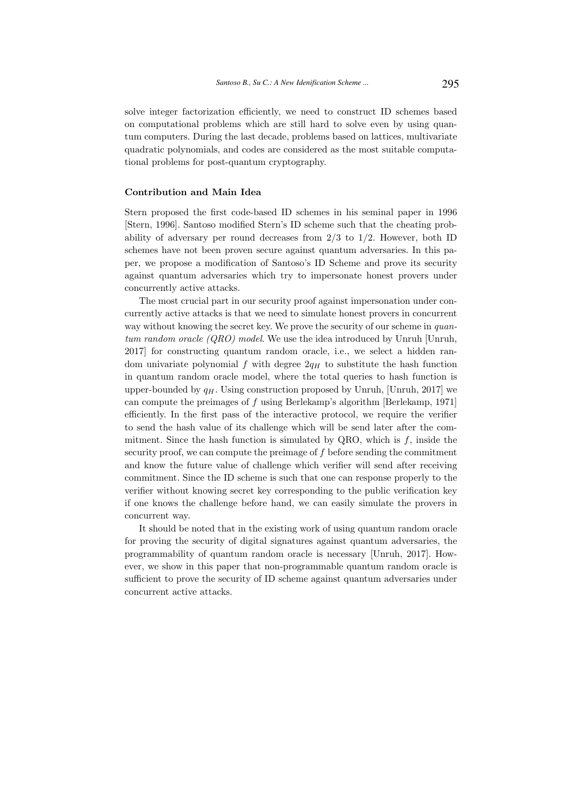solve integer factorization efficiently, we need to construct ID schemes based on computational problems which are still hard to solve even by using quantum computers. During the last decade, problems based on lattices, multivariate quadratic polynomials, and codes are considered as the most suitable computational problems for post-quantum cryptography.

# Contribution and Main Idea

Stern proposed the first code-based ID schemes in his seminal paper in 1996 [Stern, 1996]. Santoso modified Stern's ID scheme such that the cheating probability of adversary per round decreases from 2/3 to 1/2. However, both ID schemes have not been proven secure against quantum adversaries. In this paper, we propose a modification of Santoso's ID Scheme and prove its security against quantum adversaries which try to impersonate honest provers under concurrently active attacks.

The most crucial part in our security proof against impersonation under concurrently active attacks is that we need to simulate honest provers in concurrent way without knowing the secret key. We prove the security of our scheme in quantum random oracle  $(QRO)$  model. We use the idea introduced by Unruh [Unruh, 2017] for constructing quantum random oracle, i.e., we select a hidden random univariate polynomial f with degree  $2q_H$  to substitute the hash function in quantum random oracle model, where the total queries to hash function is upper-bounded by  $q_H$ . Using construction proposed by Unruh, [Unruh, 2017] we can compute the preimages of f using Berlekamp's algorithm [Berlekamp, 1971] efficiently. In the first pass of the interactive protocol, we require the verifier to send the hash value of its challenge which will be send later after the commitment. Since the hash function is simulated by QRO, which is  $f$ , inside the security proof, we can compute the preimage of  $f$  before sending the commitment and know the future value of challenge which verifier will send after receiving commitment. Since the ID scheme is such that one can response properly to the verifier without knowing secret key corresponding to the public verification key if one knows the challenge before hand, we can easily simulate the provers in concurrent way.

It should be noted that in the existing work of using quantum random oracle for proving the security of digital signatures against quantum adversaries, the programmability of quantum random oracle is necessary [Unruh, 2017]. However, we show in this paper that non-programmable quantum random oracle is sufficient to prove the security of ID scheme against quantum adversaries under concurrent active attacks.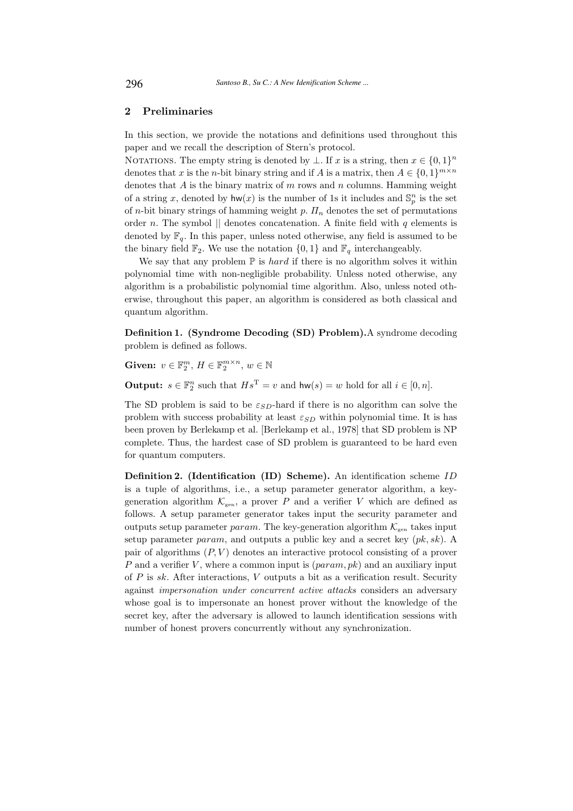# 2 Preliminaries

In this section, we provide the notations and definitions used throughout this paper and we recall the description of Stern's protocol.

NOTATIONS. The empty string is denoted by  $\bot$ . If x is a string, then  $x \in \{0,1\}^n$ denotes that x is the n-bit binary string and if A is a matrix, then  $A \in \{0,1\}^{m \times n}$ denotes that  $A$  is the binary matrix of  $m$  rows and  $n$  columns. Hamming weight of a string x, denoted by  $hw(x)$  is the number of 1s it includes and  $\mathbb{S}_p^n$  is the set of n-bit binary strings of hamming weight p.  $\Pi_n$  denotes the set of permutations order n. The symbol  $\parallel$  denotes concatenation. A finite field with q elements is denoted by  $\mathbb{F}_q$ . In this paper, unless noted otherwise, any field is assumed to be the binary field  $\mathbb{F}_2$ . We use the notation  $\{0, 1\}$  and  $\mathbb{F}_q$  interchangeably.

We say that any problem  $\mathbb P$  is *hard* if there is no algorithm solves it within polynomial time with non-negligible probability. Unless noted otherwise, any algorithm is a probabilistic polynomial time algorithm. Also, unless noted otherwise, throughout this paper, an algorithm is considered as both classical and quantum algorithm.

Definition 1. (Syndrome Decoding (SD) Problem).A syndrome decoding problem is defined as follows.

Given:  $v \in \mathbb{F}_2^m$ ,  $H \in \mathbb{F}_2^{m \times n}$ ,  $w \in \mathbb{N}$ 

**Output:**  $s \in \mathbb{F}_2^n$  such that  $Hs^T = v$  and  $hw(s) = w$  hold for all  $i \in [0, n]$ .

The SD problem is said to be  $\varepsilon_{SD}$ -hard if there is no algorithm can solve the problem with success probability at least  $\varepsilon_{SD}$  within polynomial time. It is has been proven by Berlekamp et al. [Berlekamp et al., 1978] that SD problem is NP complete. Thus, the hardest case of SD problem is guaranteed to be hard even for quantum computers.

Definition 2. (Identification (ID) Scheme). An identification scheme ID is a tuple of algorithms, i.e., a setup parameter generator algorithm, a keygeneration algorithm  $\mathcal{K}_{\text{gen}}$ , a prover P and a verifier V which are defined as follows. A setup parameter generator takes input the security parameter and outputs setup parameter param. The key-generation algorithm  $\mathcal{K}_{\text{gen}}$  takes input setup parameter *param*, and outputs a public key and a secret key  $(pk, sk)$ . A pair of algorithms  $(P, V)$  denotes an interactive protocol consisting of a prover P and a verifier V, where a common input is  $(\text{param}, \text{pk})$  and an auxiliary input of  $P$  is sk. After interactions,  $V$  outputs a bit as a verification result. Security against impersonation under concurrent active attacks considers an adversary whose goal is to impersonate an honest prover without the knowledge of the secret key, after the adversary is allowed to launch identification sessions with number of honest provers concurrently without any synchronization.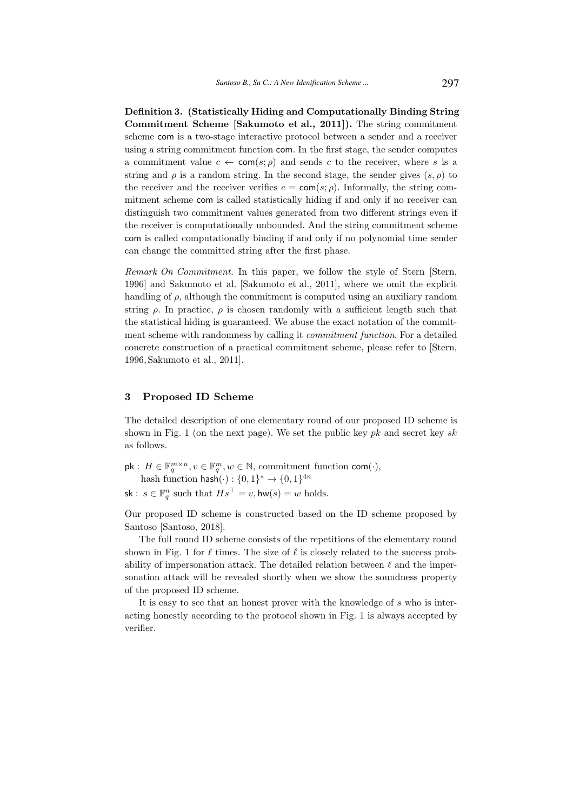Definition 3. (Statistically Hiding and Computationally Binding String Commitment Scheme [Sakumoto et al., 2011]). The string commitment scheme com is a two-stage interactive protocol between a sender and a receiver using a string commitment function com. In the first stage, the sender computes a commitment value  $c \leftarrow \text{com}(s; \rho)$  and sends c to the receiver, where s is a string and  $\rho$  is a random string. In the second stage, the sender gives  $(s, \rho)$  to the receiver and the receiver verifies  $c = \text{com}(s; \rho)$ . Informally, the string commitment scheme com is called statistically hiding if and only if no receiver can distinguish two commitment values generated from two different strings even if the receiver is computationally unbounded. And the string commitment scheme com is called computationally binding if and only if no polynomial time sender can change the committed string after the first phase.

Remark On Commitment. In this paper, we follow the style of Stern [Stern, 1996] and Sakumoto et al. [Sakumoto et al., 2011], where we omit the explicit handling of  $\rho$ , although the commitment is computed using an auxiliary random string  $\rho$ . In practice,  $\rho$  is chosen randomly with a sufficient length such that the statistical hiding is guaranteed. We abuse the exact notation of the commitment scheme with randomness by calling it commitment function. For a detailed concrete construction of a practical commitment scheme, please refer to [Stern, 1996, Sakumoto et al., 2011].

#### 3 Proposed ID Scheme

The detailed description of one elementary round of our proposed ID scheme is shown in Fig. 1 (on the next page). We set the public key  $pk$  and secret key  $sk$ as follows.

- $\mathsf{pk}: H \in \mathbb{F}_q^{m \times n}, v \in \mathbb{F}_q^m, w \in \mathbb{N}$ , commitment function  $\mathsf{com}(\cdot)$ , hash function  $\mathsf{hash}(\cdot): \{0, 1\}^* \to \{0, 1\}^{4n}$
- sk :  $s \in \mathbb{F}_q^n$  such that  $Hs^{\top} = v$ , hw $(s) = w$  holds.

Our proposed ID scheme is constructed based on the ID scheme proposed by Santoso [Santoso, 2018].

The full round ID scheme consists of the repetitions of the elementary round shown in Fig. 1 for  $\ell$  times. The size of  $\ell$  is closely related to the success probability of impersonation attack. The detailed relation between  $\ell$  and the impersonation attack will be revealed shortly when we show the soundness property of the proposed ID scheme.

It is easy to see that an honest prover with the knowledge of s who is interacting honestly according to the protocol shown in Fig. 1 is always accepted by verifier.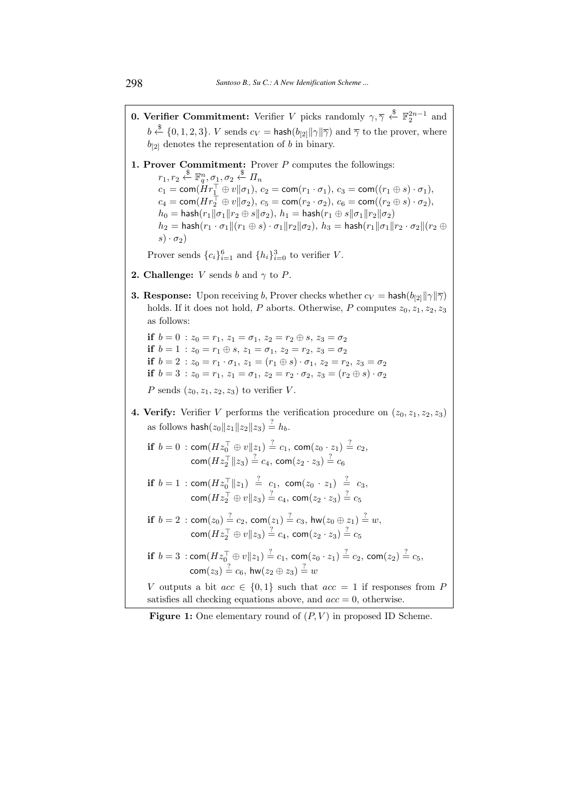- **0. Verifier Commitment:** Verifier V picks randomly  $\gamma$ ,  $\overline{\gamma} \overset{\$}{\leftarrow} \mathbb{F}_2^{2n-1}$  and  $b \stackrel{\$}{\leftarrow} \{0, 1, 2, 3\}$ . V sends  $c_V = \mathsf{hash}(b_{[2]}\|\gamma\|\overline{\gamma})$  and  $\overline{\gamma}$  to the prover, where  $b_{[2]}$  denotes the representation of b in binary.
- 1. Prover Commitment: Prover P computes the followings:  $r_1, r_2 \overset{\$}{\leftarrow} \mathbb{F}_q^n, \sigma_1, \sigma_2 \overset{\$}{\leftarrow} \varPi_n$  $c_1 = \mathsf{com}(\dot{H}r_1^\top \oplus v\|\sigma_1),\,c_2 = \mathsf{com}(r_1\cdot \sigma_1),\,c_3 = \mathsf{com}((r_1 \oplus s)\cdot \sigma_1),$  $c_4 = \mathsf{com}(Hr_2^\top \oplus v\|\sigma_2),\,c_5 = \mathsf{com}(r_2\cdot \sigma_2),\,c_6 = \mathsf{com}((r_2 \oplus s)\cdot \sigma_2),$  $h_0 = \text{hash}(r_1 \| \sigma_1 \| r_2 \oplus s \| \sigma_2), h_1 = \text{hash}(r_1 \oplus s \| \sigma_1 \| r_2 \| \sigma_2)$  $h_2 = \mathsf{hash}(r_1 \cdot \sigma_1 || (r_1 \oplus s) \cdot \sigma_1 || r_2 || \sigma_2), h_3 = \mathsf{hash}(r_1 || \sigma_1 || r_2 \cdot \sigma_2 || (r_2 \oplus s) \cdot \sigma_1 || r_3)$  $s) \cdot \sigma_2$ )

Prover sends  ${c_i}_{i=1}^6$  and  ${h_i}_{i=0}^3$  to verifier V.

- **2. Challenge:** *V* sends *b* and  $\gamma$  to *P*.
- **3. Response:** Upon receiving b, Prover checks whether  $c_V = \mathsf{hash}(b_{[2]}||\gamma||\overline{\gamma})$ holds. If it does not hold, P aborts. Otherwise, P computes  $z_0, z_1, z_2, z_3$ as follows:

if  $b = 0$ :  $z_0 = r_1$ ,  $z_1 = \sigma_1$ ,  $z_2 = r_2 \oplus s$ ,  $z_3 = \sigma_2$ if  $b = 1$ :  $z_0 = r_1 \oplus s$ ,  $z_1 = \sigma_1$ ,  $z_2 = r_2$ ,  $z_3 = \sigma_2$ if  $b = 2 : z_0 = r_1 \cdot \sigma_1$ ,  $z_1 = (r_1 \oplus s) \cdot \sigma_1$ ,  $z_2 = r_2$ ,  $z_3 = \sigma_2$ if  $b = 3 : z_0 = r_1, z_1 = \sigma_1, z_2 = r_2 \cdot \sigma_2, z_3 = (r_2 \oplus s) \cdot \sigma_2$ P sends  $(z_0, z_1, z_2, z_3)$  to verifier V.

- **4. Verify:** Verifier V performs the verification procedure on  $(z_0, z_1, z_2, z_3)$ as follows  $\mathsf{hash}(z_0||z_1||z_2||z_3) \stackrel{?}{=} h_b.$ 
	- $\textbf{if}\,\ b=0\,:\, \textsf{com}(Hz_0^\top\oplus v\|z_1)\stackrel{?}{=}c_1,\, \textsf{com}(z_0\cdot z_1)\stackrel{?}{=}c_2,$  $\mathsf{com}(Hz_2^\top\|z_3) \stackrel{?}{=} c_4,\, \mathsf{com}(z_2 \cdot z_3) \stackrel{?}{=} c_6$
	- if  $b = 1$  : com $(Hz_0^{\top}||z_1) \stackrel{?}{=} c_1$ , com $(z_0 \cdot z_1) \stackrel{?}{=} c_3$ ,  $\mathsf{com}(Hz_2^\top\oplus v\|z_3)\stackrel{?}{=} c_4,\, \mathsf{com}(z_2\cdot z_3)\stackrel{?}{=} c_5$
	- ${\bf if}\,\ b=2\,:\, {\sf com}(z_0)\stackrel{?}{=} c_2,\, {\sf com}(z_1)\stackrel{?}{=} c_3,\, {\sf hw}(z_0\oplus z_1)\stackrel{?}{=}w,$  $\mathsf{com}(Hz_2^\top\oplus v\|z_3)\stackrel{?}{=} c_4,\, \mathsf{com}(z_2\cdot z_3)\stackrel{?}{=} c_5$
	- if  $b = 3$ : com $(Hz_0^\top \oplus v \| z_1) \stackrel{?}{=} c_1$ , com $(z_0 \cdot z_1) \stackrel{?}{=} c_2$ , com $(z_2) \stackrel{?}{=} c_5$ ,  $\mathsf{com}(z_3) \stackrel{?}{=} c_6,\, \mathsf{hw}(z_2 \oplus z_3) \stackrel{?}{=} w$

V outputs a bit  $acc \in \{0, 1\}$  such that  $acc = 1$  if responses from P satisfies all checking equations above, and  $acc = 0$ , otherwise.

**Figure 1:** One elementary round of  $(P, V)$  in proposed ID Scheme.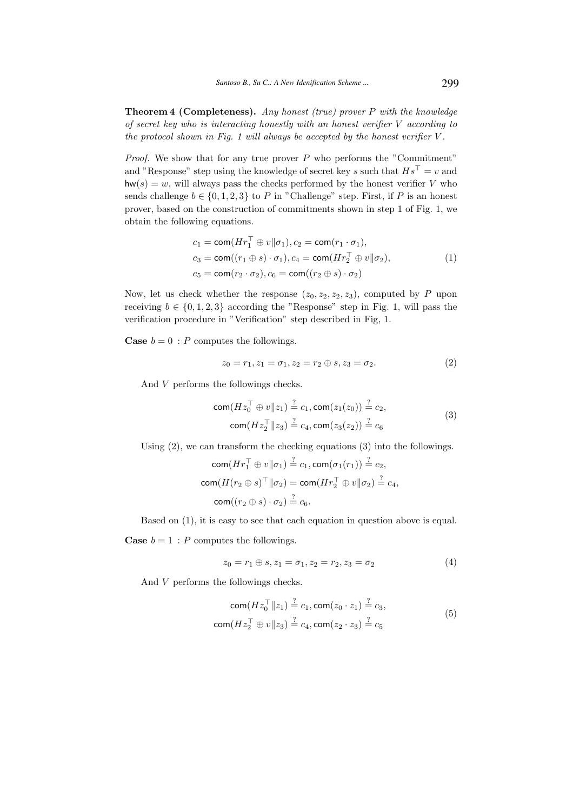**Theorem 4 (Completeness).** Any honest (true) prover  $P$  with the knowledge of secret key who is interacting honestly with an honest verifier V according to the protocol shown in Fig. 1 will always be accepted by the honest verifier  $V$ .

*Proof.* We show that for any true prover  $P$  who performs the "Commitment" and "Response" step using the knowledge of secret key s such that  $Hs^{\top} = v$  and  $hw(s) = w$ , will always pass the checks performed by the honest verifier V who sends challenge  $b \in \{0, 1, 2, 3\}$  to P in "Challenge" step. First, if P is an honest prover, based on the construction of commitments shown in step 1 of Fig. 1, we obtain the following equations.

$$
c_1 = \text{com}(Hr_1^\top \oplus v \| \sigma_1), c_2 = \text{com}(r_1 \cdot \sigma_1),
$$
  
\n
$$
c_3 = \text{com}((r_1 \oplus s) \cdot \sigma_1), c_4 = \text{com}(Hr_2^\top \oplus v \| \sigma_2),
$$
  
\n
$$
c_5 = \text{com}(r_2 \cdot \sigma_2), c_6 = \text{com}((r_2 \oplus s) \cdot \sigma_2)
$$
\n(1)

Now, let us check whether the response  $(z_0, z_2, z_2, z_3)$ , computed by P upon receiving  $b \in \{0, 1, 2, 3\}$  according the "Response" step in Fig. 1, will pass the verification procedure in "Verification" step described in Fig, 1.

**Case**  $b = 0$ : P computes the followings.

$$
z_0 = r_1, z_1 = \sigma_1, z_2 = r_2 \oplus s, z_3 = \sigma_2.
$$
 (2)

And V performs the followings checks.

com
$$
(Hz_0^{\top} \oplus v||z_1) \stackrel{?}{=} c_1, \text{com}(z_1(z_0)) \stackrel{?}{=} c_2,
$$
  
\ncom $(Hz_2^{\top}||z_3) \stackrel{?}{=} c_4, \text{com}(z_3(z_2)) \stackrel{?}{=} c_6$  (3)

Using (2), we can transform the checking equations (3) into the followings.

$$
\operatorname{com}(Hr_1^\top \oplus v \|\sigma_1) \stackrel{?}{=} c_1, \operatorname{com}(\sigma_1(r_1)) \stackrel{?}{=} c_2,
$$
  
\n
$$
\operatorname{com}(H(r_2 \oplus s)^\top \|\sigma_2) = \operatorname{com}(Hr_2^\top \oplus v \|\sigma_2) \stackrel{?}{=} c_4,
$$
  
\n
$$
\operatorname{com}((r_2 \oplus s) \cdot \sigma_2) \stackrel{?}{=} c_6.
$$

Based on (1), it is easy to see that each equation in question above is equal.

**Case**  $b = 1$ : *P* computes the followings.

$$
z_0 = r_1 \oplus s, z_1 = \sigma_1, z_2 = r_2, z_3 = \sigma_2 \tag{4}
$$

And V performs the followings checks.

com
$$
(Hz_0^{\top}||z_1) \stackrel{?}{=} c_1, \text{com}(z_0 \cdot z_1) \stackrel{?}{=} c_3,
$$
  
\ncom $(Hz_2^{\top} \oplus v||z_3) \stackrel{?}{=} c_4, \text{com}(z_2 \cdot z_3) \stackrel{?}{=} c_5$  (5)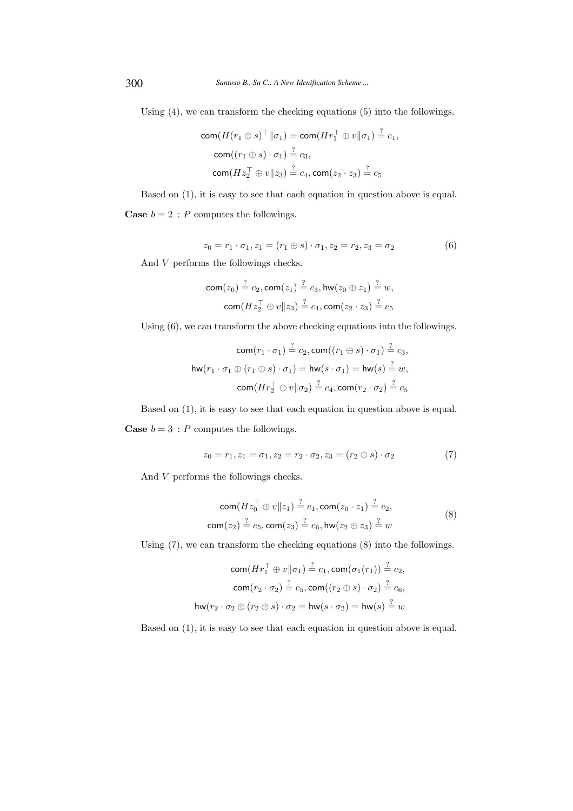Using (4), we can transform the checking equations (5) into the followings.

$$
com(H(r_1 \oplus s)^\top || \sigma_1) = com(Hr_1^\top \oplus v || \sigma_1) \stackrel{?}{=} c_1,
$$
  
\n
$$
com((r_1 \oplus s) \cdot \sigma_1) \stackrel{?}{=} c_3,
$$
  
\n
$$
com(Hz_2^\top \oplus v || z_3) \stackrel{?}{=} c_4, com(z_2 \cdot z_3) \stackrel{?}{=} c_5
$$

Based on (1), it is easy to see that each equation in question above is equal. **Case**  $b = 2$ : *P* computes the followings.

$$
z_0 = r_1 \cdot \sigma_1, z_1 = (r_1 \oplus s) \cdot \sigma_1, z_2 = r_2, z_3 = \sigma_2 \tag{6}
$$

And V performs the followings checks.

com
$$
(z_0)
$$
  $\stackrel{?}{=} c_2$ , com $(z_1)$   $\stackrel{?}{=} c_3$ , hw $(z_0 \oplus z_1)$   $\stackrel{?}{=} w$ ,  
com $(Hz_2^{\top} \oplus v || z_3)$   $\stackrel{?}{=} c_4$ , com $(z_2 \cdot z_3)$   $\stackrel{?}{=} c_5$ 

Using (6), we can transform the above checking equations into the followings.

$$
\operatorname{com}(r_1 \cdot \sigma_1) \stackrel{?}{=} c_2, \operatorname{com}((r_1 \oplus s) \cdot \sigma_1) \stackrel{?}{=} c_3,
$$
  
\nhw(r\_1 \cdot \sigma\_1 \oplus (r\_1 \oplus s) \cdot \sigma\_1) = hw(s \cdot \sigma\_1) = hw(s) \stackrel{?}{=} w,  
\n
$$
\operatorname{com}(Hr_2^\top \oplus v \|\sigma_2) \stackrel{?}{=} c_4, \operatorname{com}(r_2 \cdot \sigma_2) \stackrel{?}{=} c_5
$$

Based on (1), it is easy to see that each equation in question above is equal. **Case**  $b = 3$ : *P* computes the followings.

$$
z_0 = r_1, z_1 = \sigma_1, z_2 = r_2 \cdot \sigma_2, z_3 = (r_2 \oplus s) \cdot \sigma_2 \tag{7}
$$

And V performs the followings checks.

com
$$
(Hz_0^{\top} \oplus v||z_1) \stackrel{?}{=} c_1, \text{com}(z_0 \cdot z_1) \stackrel{?}{=} c_2,
$$
  
com $(z_2) \stackrel{?}{=} c_5, \text{com}(z_3) \stackrel{?}{=} c_6, \text{hw}(z_2 \oplus z_3) \stackrel{?}{=} w$  (8)

Using (7), we can transform the checking equations (8) into the followings.

$$
\operatorname{com}(Hr_1^{\top} \oplus v \|\sigma_1) \stackrel{?}{=} c_1, \operatorname{com}(\sigma_1(r_1)) \stackrel{?}{=} c_2,
$$
  
\n
$$
\operatorname{com}(r_2 \cdot \sigma_2) \stackrel{?}{=} c_5, \operatorname{com}((r_2 \oplus s) \cdot \sigma_2) \stackrel{?}{=} c_6,
$$
  
\n
$$
\operatorname{hw}(r_2 \cdot \sigma_2 \oplus (r_2 \oplus s) \cdot \sigma_2 = \operatorname{hw}(s \cdot \sigma_2) = \operatorname{hw}(s) \stackrel{?}{=} w
$$

Based on (1), it is easy to see that each equation in question above is equal.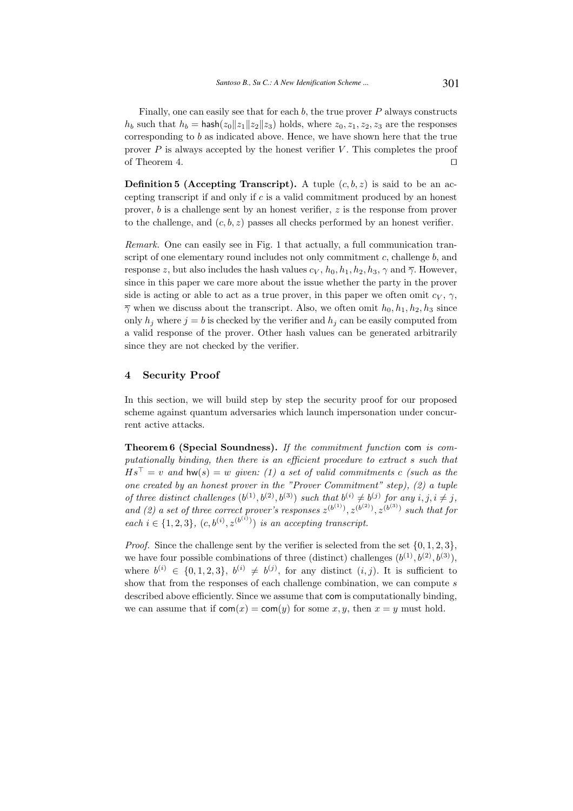Finally, one can easily see that for each  $b$ , the true prover  $P$  always constructs  $h_b$  such that  $h_b = \text{hash}(z_0||z_1||z_2||z_3)$  holds, where  $z_0, z_1, z_2, z_3$  are the responses corresponding to b as indicated above. Hence, we have shown here that the true prover  $P$  is always accepted by the honest verifier  $V$ . This completes the proof of Theorem 4. □

**Definition 5 (Accepting Transcript).** A tuple  $(c, b, z)$  is said to be an accepting transcript if and only if  $c$  is a valid commitment produced by an honest prover, b is a challenge sent by an honest verifier, z is the response from prover to the challenge, and  $(c, b, z)$  passes all checks performed by an honest verifier.

Remark. One can easily see in Fig. 1 that actually, a full communication transcript of one elementary round includes not only commitment  $c$ , challenge  $b$ , and response z, but also includes the hash values  $c_V$ ,  $h_0$ ,  $h_1$ ,  $h_2$ ,  $h_3$ ,  $\gamma$  and  $\overline{\gamma}$ . However, since in this paper we care more about the issue whether the party in the prover side is acting or able to act as a true prover, in this paper we often omit  $c_V$ ,  $\gamma$ ,  $\overline{\gamma}$  when we discuss about the transcript. Also, we often omit  $h_0, h_1, h_2, h_3$  since only  $h_i$  where  $j = b$  is checked by the verifier and  $h_i$  can be easily computed from a valid response of the prover. Other hash values can be generated arbitrarily since they are not checked by the verifier.

## 4 Security Proof

In this section, we will build step by step the security proof for our proposed scheme against quantum adversaries which launch impersonation under concurrent active attacks.

Theorem 6 (Special Soundness). If the commitment function com is computationally binding, then there is an efficient procedure to extract s such that  $Hs^{\top} = v$  and hw(s) = w given: (1) a set of valid commitments c (such as the one created by an honest prover in the "Prover Commitment" step), (2) a tuple of three distinct challenges  $(b^{(1)}, b^{(2)}, b^{(3)})$  such that  $b^{(i)} \neq b^{(j)}$  for any  $i, j, i \neq j$ , and (2) a set of three correct prover's responses  $z^{(b^{(1)})}, z^{(b^{(2)})}, z^{(b^{(3)})}$  such that for each  $i \in \{1, 2, 3\}$ ,  $(c, b^{(i)}, z^{(b^{(i)})})$  is an accepting transcript.

*Proof.* Since the challenge sent by the verifier is selected from the set  $\{0, 1, 2, 3\}$ , we have four possible combinations of three (distinct) challenges  $(b^{(1)}, b^{(2)}, b^{(3)})$ , where  $b^{(i)} \in \{0,1,2,3\}, b^{(i)} \neq b^{(j)}$ , for any distinct  $(i, j)$ . It is sufficient to show that from the responses of each challenge combination, we can compute s described above efficiently. Since we assume that com is computationally binding, we can assume that if  $com(x) = com(y)$  for some  $x, y$ , then  $x = y$  must hold.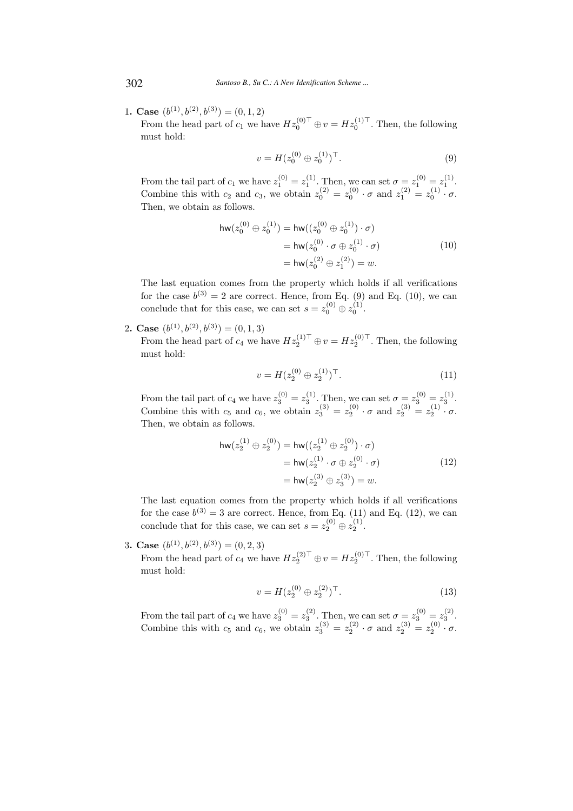1. Case  $(b^{(1)}, b^{(2)}, b^{(3)}) = (0, 1, 2)$ 

From the head part of  $c_1$  we have  $Hz_0^{(0)\top} \oplus v = Hz_0^{(1)\top}$ . Then, the following must hold:

$$
v = H(z_0^{(0)} \oplus z_0^{(1)})^\top.
$$
 (9)

From the tail part of  $c_1$  we have  $z_1^{(0)} = z_1^{(1)}$ . Then, we can set  $\sigma = z_1^{(0)} = z_1^{(1)}$ . Combine this with  $c_2$  and  $c_3$ , we obtain  $z_0^{(2)} = z_0^{(0)} \cdot \sigma$  and  $z_1^{(2)} = z_0^{(1)} \cdot \sigma$ . Then, we obtain as follows.

$$
\begin{aligned} \mathsf{hw}(z_0^{(0)} \oplus z_0^{(1)}) &= \mathsf{hw}((z_0^{(0)} \oplus z_0^{(1)}) \cdot \sigma) \\ &= \mathsf{hw}(z_0^{(0)} \cdot \sigma \oplus z_0^{(1)} \cdot \sigma) \\ &= \mathsf{hw}(z_0^{(2)} \oplus z_1^{(2)}) = w. \end{aligned} \tag{10}
$$

The last equation comes from the property which holds if all verifications for the case  $b^{(3)} = 2$  are correct. Hence, from Eq. (9) and Eq. (10), we can conclude that for this case, we can set  $s = z_0^{(0)} \oplus z_0^{(1)}$ .

2. Case  $(b^{(1)}, b^{(2)}, b^{(3)}) = (0, 1, 3)$ 

From the head part of  $c_4$  we have  $Hz_2^{(1)\top} \oplus v = Hz_2^{(0)\top}$ . Then, the following must hold:

$$
v = H(z_2^{(0)} \oplus z_2^{(1)})^\top. \tag{11}
$$

From the tail part of  $c_4$  we have  $z_3^{(0)} = z_3^{(1)}$ . Then, we can set  $\sigma = z_3^{(0)} = z_3^{(1)}$ . Combine this with  $c_5$  and  $c_6$ , we obtain  $z_3^{(3)} = z_2^{(0)} \cdot \sigma$  and  $z_2^{(3)} = z_2^{(1)} \cdot \sigma$ . Then, we obtain as follows.

$$
\begin{aligned} \mathsf{hw}(z_2^{(1)} \oplus z_2^{(0)}) &= \mathsf{hw}((z_2^{(1)} \oplus z_2^{(0)}) \cdot \sigma) \\ &= \mathsf{hw}(z_2^{(1)} \cdot \sigma \oplus z_2^{(0)} \cdot \sigma) \\ &= \mathsf{hw}(z_2^{(3)} \oplus z_3^{(3)}) = w. \end{aligned} \tag{12}
$$

The last equation comes from the property which holds if all verifications for the case  $b^{(3)} = 3$  are correct. Hence, from Eq. (11) and Eq. (12), we can conclude that for this case, we can set  $s = z_2^{(0)} \oplus z_2^{(1)}$ .

3. Case  $(b^{(1)}, b^{(2)}, b^{(3)}) = (0, 2, 3)$ 

From the head part of  $c_4$  we have  $Hz_2^{(2)\top} \oplus v = Hz_2^{(0)\top}$ . Then, the following must hold:

$$
v = H(z_2^{(0)} \oplus z_2^{(2)})^\top.
$$
 (13)

From the tail part of  $c_4$  we have  $z_3^{(0)} = z_3^{(2)}$ . Then, we can set  $\sigma = z_3^{(0)} = z_3^{(2)}$ . Combine this with  $c_5$  and  $c_6$ , we obtain  $z_3^{(3)} = z_2^{(2)} \cdot \sigma$  and  $z_2^{(3)} = z_2^{(0)} \cdot \sigma$ .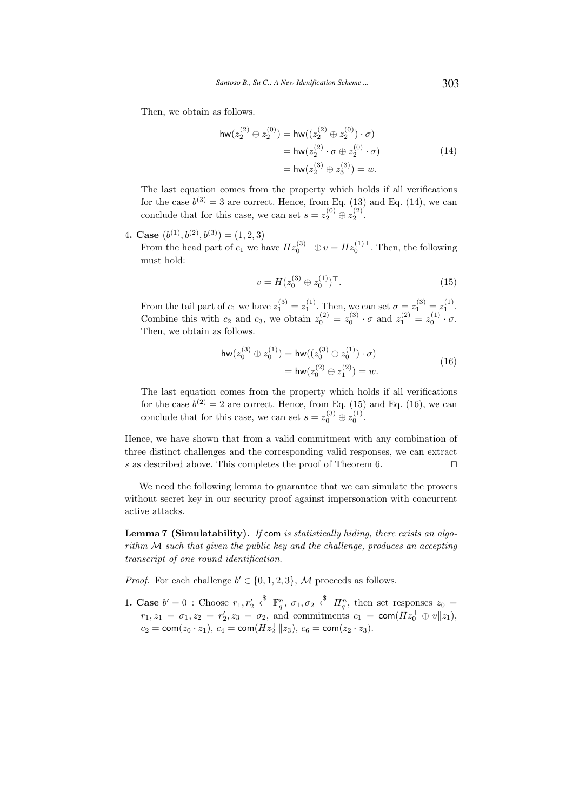Then, we obtain as follows.

$$
\begin{aligned} \mathsf{hw}(z_2^{(2)} \oplus z_2^{(0)}) &= \mathsf{hw}((z_2^{(2)} \oplus z_2^{(0)}) \cdot \sigma) \\ &= \mathsf{hw}(z_2^{(2)} \cdot \sigma \oplus z_2^{(0)} \cdot \sigma) \\ &= \mathsf{hw}(z_2^{(3)} \oplus z_3^{(3)}) = w. \end{aligned} \tag{14}
$$

The last equation comes from the property which holds if all verifications for the case  $b^{(3)} = 3$  are correct. Hence, from Eq. (13) and Eq. (14), we can conclude that for this case, we can set  $s = z_2^{(0)} \oplus z_2^{(2)}$ .

4. Case  $(b^{(1)}, b^{(2)}, b^{(3)}) = (1, 2, 3)$ 

From the head part of  $c_1$  we have  $Hz_0^{(3)\top} \oplus v = Hz_0^{(1)\top}$ . Then, the following must hold:

$$
v = H(z_0^{(3)} \oplus z_0^{(1)})^\top. \tag{15}
$$

From the tail part of  $c_1$  we have  $z_1^{(3)} = z_1^{(1)}$ . Then, we can set  $\sigma = z_1^{(3)} = z_1^{(1)}$ . Combine this with  $c_2$  and  $c_3$ , we obtain  $z_0^{(2)} = z_0^{(3)} \cdot \sigma$  and  $z_1^{(2)} = z_0^{(1)} \cdot \sigma$ . Then, we obtain as follows.

$$
\mathsf{hw}(z_0^{(3)} \oplus z_0^{(1)}) = \mathsf{hw}((z_0^{(3)} \oplus z_0^{(1)}) \cdot \sigma)
$$
  
=  $\mathsf{hw}(z_0^{(2)} \oplus z_1^{(2)}) = w.$  (16)

The last equation comes from the property which holds if all verifications for the case  $b^{(2)} = 2$  are correct. Hence, from Eq. (15) and Eq. (16), we can conclude that for this case, we can set  $s = z_0^{(3)} \oplus z_0^{(1)}$ .

Hence, we have shown that from a valid commitment with any combination of three distinct challenges and the corresponding valid responses, we can extract s as described above. This completes the proof of Theorem 6. □

We need the following lemma to guarantee that we can simulate the provers without secret key in our security proof against impersonation with concurrent active attacks.

Lemma 7 (Simulatability). If com is statistically hiding, there exists an algorithm M such that given the public key and the challenge, produces an accepting transcript of one round identification.

*Proof.* For each challenge  $b' \in \{0, 1, 2, 3\}$ , M proceeds as follows.

1. Case  $b' = 0$  : Choose  $r_1, r'_2$  $\overset{\$}{\leftarrow}$  **F**<sup>n</sup><sub>*q*</sub>,  $\sigma_1$ ,  $\sigma_2$   $\overset{\$}{\leftarrow}$  *Π*<sub>q</sub><sup>n</sup>, then set responses  $z_0$  =  $r_1, z_1 = \sigma_1, z_2 = r'_2, z_3 = \sigma_2$ , and commitments  $c_1 = \text{com}(Hz_0^\top \oplus v||z_1)$ ,  $c_2 = \textsf{com}(z_0 \cdot z_1), c_4 = \textsf{com}(Hz_2^{\top} || z_3), c_6 = \textsf{com}(z_2 \cdot z_3).$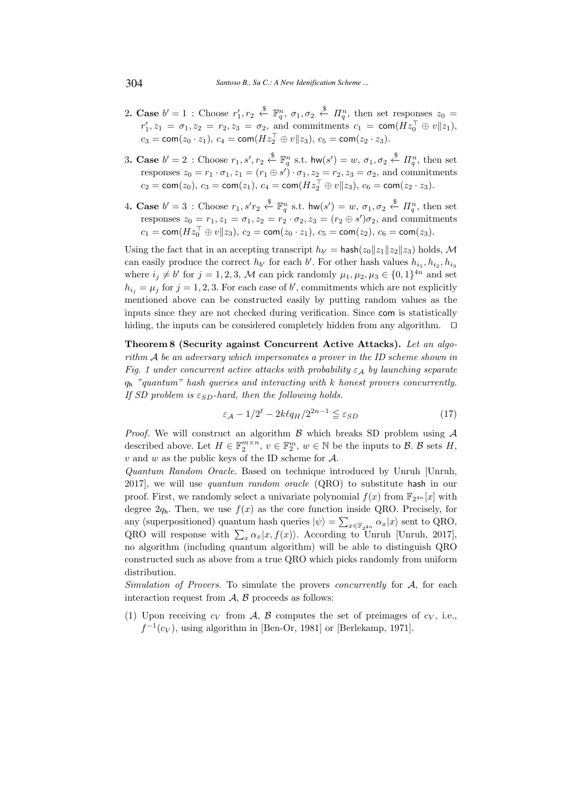- 2. Case  $b' = 1$ : Choose  $r'_1, r_2 \stackrel{\$}{\leftarrow} \mathbb{F}_q^n$ ,  $\sigma_1, \sigma_2 \stackrel{\$}{\leftarrow} \Pi_q^n$ , then set responses  $z_0 =$  $r'_1, z_1 = \sigma_1, z_2 = r_2, z_3 = \sigma_2$ , and commitments  $c_1 = \text{com}(Hz_0^\top \oplus v||z_1)$ ,  $c_3 = \text{com}(z_0 \cdot z_1), c_4 = \text{com}(Hz_2^{\top} \oplus v||z_3), c_5 = \text{com}(z_2 \cdot z_3).$
- 3. Case  $b'=2$ : Choose  $r_1, s', r_2 \stackrel{\$}{\leftarrow} \mathbb{F}_q^n$  s.t.  $\textsf{hw}(s')=w, \sigma_1, \sigma_2 \stackrel{\$}{\leftarrow} \Pi_q^n$ , then set responses  $z_0 = r_1 \cdot \sigma_1$ ,  $z_1 = (r_1 \oplus s') \cdot \sigma_1$ ,  $z_2 = r_2$ ,  $z_3 = \sigma_2$ , and commitments  $c_2 = \textsf{com}(z_0), c_3 = \textsf{com}(z_1), c_4 = \textsf{com}(Hz_2^\top \oplus v \| z_3), c_6 = \textsf{com}(z_2 \cdot z_3).$
- 4. Case  $b' = 3$ : Choose  $r_1, s'r_2 \stackrel{\$}{\leftarrow} \mathbb{F}_q^n$  s.t.  $\text{hw}(s') = w, \sigma_1, \sigma_2 \stackrel{\$}{\leftarrow} \Pi_q^n$ , then set responses  $z_0 = r_1, z_1 = \sigma_1, z_2 = r_2 \cdot \sigma_2, z_3 = (r_2 \oplus s') \sigma_2$ , and commitments  $c_1 = \textsf{com}(Hz_0^{\top} \oplus v \| z_3), c_2 = \textsf{com}(z_0 \cdot z_1), c_5 = \textsf{com}(z_2), c_6 = \textsf{com}(z_3).$

Using the fact that in an accepting transcript  $h_{b'} = \text{hash}(z_0 || z_1 || z_2 || z_3)$  holds, M can easily produce the correct  $h_{b'}$  for each  $b'$ . For other hash values  $h_{i_1}, h_{i_2}, h_{i_3}$ where  $i_j \neq b'$  for  $j = 1, 2, 3, \mathcal{M}$  can pick randomly  $\mu_1, \mu_2, \mu_3 \in \{0, 1\}^{4n}$  and set  $h_{ij} = \mu_j$  for  $j = 1, 2, 3$ . For each case of b', commitments which are not explicitly mentioned above can be constructed easily by putting random values as the inputs since they are not checked during verification. Since com is statistically hiding, the inputs can be considered completely hidden from any algorithm. ⊓⊔

Theorem 8 (Security against Concurrent Active Attacks). Let an algorithm A be an adversary which impersonates a prover in the ID scheme shown in Fig. 1 under concurrent active attacks with probability  $\varepsilon_A$  by launching separate  $q_h$  "quantum" hash queries and interacting with k honest provers concurrently. If SD problem is  $\varepsilon_{SD}$ -hard, then the following holds.

$$
\varepsilon_{\mathcal{A}} - 1/2^{\ell} - 2k\ell q_H / 2^{2n - 1} \leq \varepsilon_{SD}
$$
\n(17)

*Proof.* We will construct an algorithm  $\beta$  which breaks SD problem using  $\mathcal A$ described above. Let  $H \in \mathbb{F}_2^{m \times n}$ ,  $v \in \mathbb{F}_2^m$ ,  $w \in \mathbb{N}$  be the inputs to  $\mathcal{B}$ .  $\mathcal{B}$  sets  $H$ ,  $v$  and  $w$  as the public keys of the ID scheme for  $\mathcal{A}.$ 

Quantum Random Oracle. Based on technique introduced by Unruh [Unruh, 2017], we will use quantum random oracle (QRO) to substitute hash in our proof. First, we randomly select a univariate polynomial  $f(x)$  from  $\mathbb{F}_{2^{4n}}[x]$  with degree  $2q_h$ . Then, we use  $f(x)$  as the core function inside QRO. Precisely, for any (superpositioned) quantum hash queries  $|\psi\rangle = \sum_{x \in \mathbb{F}_{2^{4n}}} \alpha_x |x\rangle$  sent to QRO, QRO will response with  $\sum_{x} \alpha_x |x, f(x)\rangle$ . According to Unruh [Unruh, 2017], no algorithm (including quantum algorithm) will be able to distinguish QRO constructed such as above from a true QRO which picks randomly from uniform distribution.

Simulation of Provers. To simulate the provers *concurrently* for A, for each interaction request from  $A$ ,  $B$  proceeds as follows:

(1) Upon receiving  $c_V$  from A, B computes the set of preimages of  $c_V$ , i.e.,  $f^{-1}(c_V)$ , using algorithm in [Ben-Or, 1981] or [Berlekamp, 1971].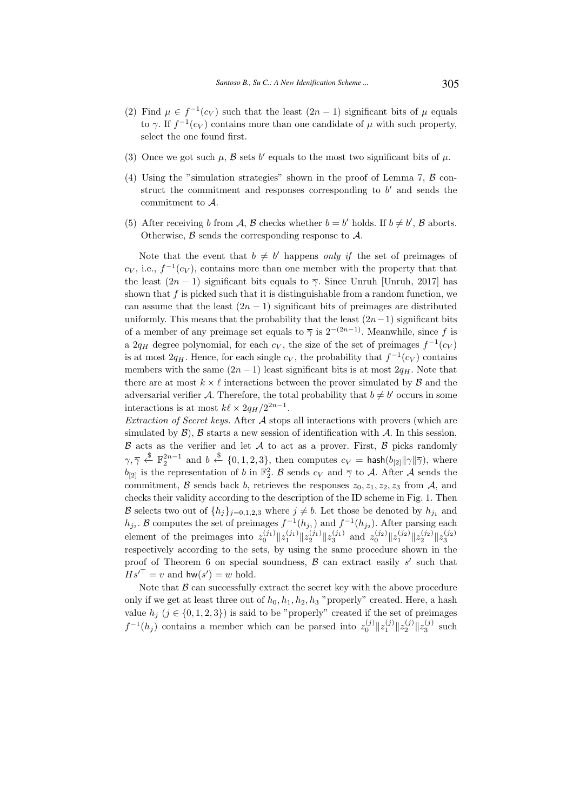- (2) Find  $\mu \in f^{-1}(c_V)$  such that the least  $(2n-1)$  significant bits of  $\mu$  equals to  $\gamma$ . If  $f^{-1}(c_V)$  contains more than one candidate of  $\mu$  with such property, select the one found first.
- (3) Once we got such  $\mu$ ,  $\beta$  sets b' equals to the most two significant bits of  $\mu$ .
- (4) Using the "simulation strategies" shown in the proof of Lemma 7,  $\beta$  construct the commitment and responses corresponding to  $b'$  and sends the commitment to A.
- (5) After receiving b from A, B checks whether  $b = b'$  holds. If  $b \neq b'$ , B aborts. Otherwise,  $\beta$  sends the corresponding response to  $\mathcal{A}$ .

Note that the event that  $b \neq b'$  happens only if the set of preimages of  $c_V$ , i.e.,  $f^{-1}(c_V)$ , contains more than one member with the property that that the least  $(2n - 1)$  significant bits equals to  $\overline{\gamma}$ . Since Unruh [Unruh, 2017] has shown that  $f$  is picked such that it is distinguishable from a random function, we can assume that the least  $(2n - 1)$  significant bits of preimages are distributed uniformly. This means that the probability that the least  $(2n-1)$  significant bits of a member of any preimage set equals to  $\overline{\gamma}$  is  $2^{-(2n-1)}$ . Meanwhile, since f is a 2 $q_H$  degree polynomial, for each  $c_V$ , the size of the set of preimages  $f^{-1}(c_V)$ is at most  $2q_H$ . Hence, for each single  $c_V$ , the probability that  $f^{-1}(c_V)$  contains members with the same  $(2n - 1)$  least significant bits is at most  $2q<sub>H</sub>$ . Note that there are at most  $k \times \ell$  interactions between the prover simulated by  $\mathcal{B}$  and the adversarial verifier A. Therefore, the total probability that  $b \neq b'$  occurs in some interactions is at most  $k\ell \times 2q_H/2^{2n-1}$ .

Extraction of Secret keys. After A stops all interactions with provers (which are simulated by  $\mathcal{B}$ ),  $\mathcal{B}$  starts a new session of identification with  $\mathcal{A}$ . In this session,  $\beta$  acts as the verifier and let  $\mathcal A$  to act as a prover. First,  $\beta$  picks randomly  $\gamma, \overline{\gamma} \overset{\$}{\leftarrow} \mathbb{F}_2^{2n-1}$  and  $b \overset{\$}{\leftarrow} \{0, 1, 2, 3\}$ , then computes  $c_V = \mathsf{hash}(b_{[2]} \| \gamma \| \overline{\gamma})$ , where  $b_{[2]}$  is the representation of b in  $\mathbb{F}_2^2$ . B sends  $c_V$  and  $\overline{\gamma}$  to A. After A sends the commitment,  $\beta$  sends back b, retrieves the responses  $z_0, z_1, z_2, z_3$  from A, and checks their validity according to the description of the ID scheme in Fig. 1. Then B selects two out of  $\{h_j\}_{j=0,1,2,3}$  where  $j \neq b$ . Let those be denoted by  $h_{j_1}$  and  $h_{j_2}$ . B computes the set of preimages  $f^{-1}(h_{j_1})$  and  $f^{-1}(h_{j_2})$ . After parsing each element of the preimages into  $z_0^{(j_1)} \| z_1^{(j_1)} \| z_2^{(j_1)} \| z_3^{(j_1)}$  and  $z_0^{(j_2)} \| z_1^{(j_2)} \| z_2^{(j_2)} \| z_3^{(j_3)}$ respectively according to the sets, by using the same procedure shown in the proof of Theorem 6 on special soundness,  $\beta$  can extract easily s' such that  $Hs'^{\top} = v$  and  $hw(s') = w$  hold.

Note that  $\beta$  can successfully extract the secret key with the above procedure only if we get at least three out of  $h_0, h_1, h_2, h_3$  "properly" created. Here, a hash value  $h_i$  ( $j \in \{0, 1, 2, 3\}$ ) is said to be "properly" created if the set of preimages  $f^{-1}(h_j)$  contains a member which can be parsed into  $z_0^{(j)}||z_1^{(j)}||z_2^{(j)}||z_3^{(j)}$  such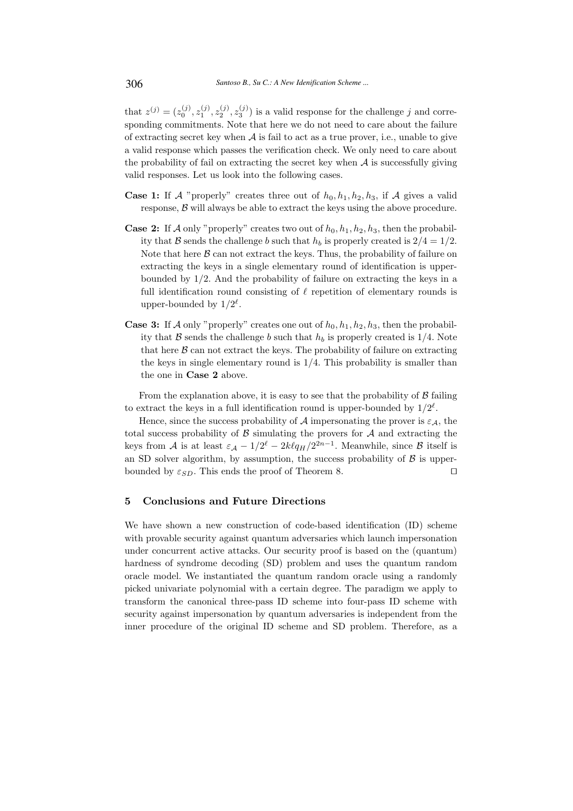that  $z^{(j)} = (z_0^{(j)}, z_1^{(j)}, z_2^{(j)}, z_3^{(j)})$  is a valid response for the challenge j and corresponding commitments. Note that here we do not need to care about the failure of extracting secret key when  $A$  is fail to act as a true prover, i.e., unable to give a valid response which passes the verification check. We only need to care about the probability of fail on extracting the secret key when  $A$  is successfully giving valid responses. Let us look into the following cases.

- **Case 1:** If A "properly" creates three out of  $h_0, h_1, h_2, h_3$ , if A gives a valid response,  $\beta$  will always be able to extract the keys using the above procedure.
- **Case 2:** If A only "properly" creates two out of  $h_0, h_1, h_2, h_3$ , then the probability that B sends the challenge b such that  $h_b$  is properly created is  $2/4 = 1/2$ . Note that here  $\beta$  can not extract the keys. Thus, the probability of failure on extracting the keys in a single elementary round of identification is upperbounded by 1/2. And the probability of failure on extracting the keys in a full identification round consisting of  $\ell$  repetition of elementary rounds is upper-bounded by  $1/2^{\ell}$ .
- **Case 3:** If A only "properly" creates one out of  $h_0, h_1, h_2, h_3$ , then the probability that B sends the challenge b such that  $h_b$  is properly created is 1/4. Note that here  $\beta$  can not extract the keys. The probability of failure on extracting the keys in single elementary round is 1/4. This probability is smaller than the one in Case 2 above.

From the explanation above, it is easy to see that the probability of  $\beta$  failing to extract the keys in a full identification round is upper-bounded by  $1/2^{\ell}$ .

Hence, since the success probability of A impersonating the prover is  $\varepsilon_A$ , the total success probability of  $\beta$  simulating the provers for  $\mathcal A$  and extracting the keys from A is at least  $\varepsilon_A - 1/2^{\ell} - 2k\ell q_H/2^{2n-1}$ . Meanwhile, since B itself is an SD solver algorithm, by assumption, the success probability of  $\beta$  is upperbounded by  $\varepsilon_{SD}$ . This ends the proof of Theorem 8. □

# 5 Conclusions and Future Directions

We have shown a new construction of code-based identification (ID) scheme with provable security against quantum adversaries which launch impersonation under concurrent active attacks. Our security proof is based on the (quantum) hardness of syndrome decoding (SD) problem and uses the quantum random oracle model. We instantiated the quantum random oracle using a randomly picked univariate polynomial with a certain degree. The paradigm we apply to transform the canonical three-pass ID scheme into four-pass ID scheme with security against impersonation by quantum adversaries is independent from the inner procedure of the original ID scheme and SD problem. Therefore, as a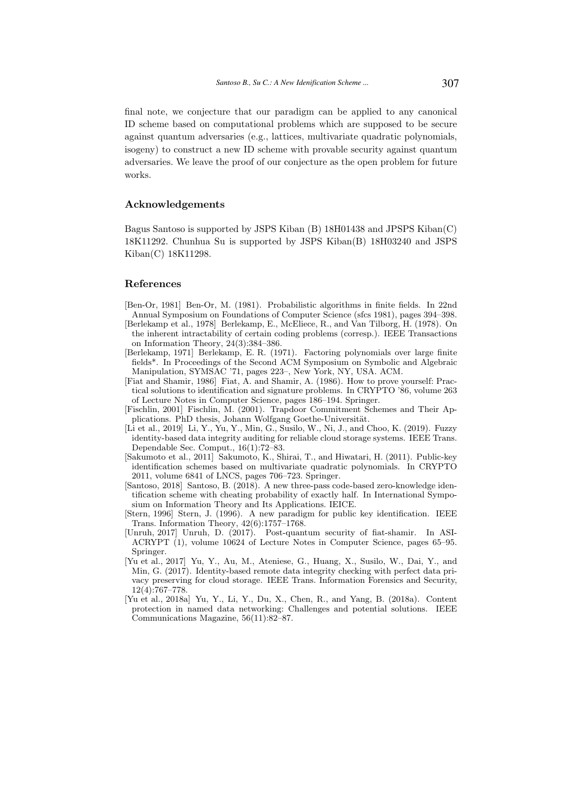final note, we conjecture that our paradigm can be applied to any canonical ID scheme based on computational problems which are supposed to be secure against quantum adversaries (e.g., lattices, multivariate quadratic polynomials, isogeny) to construct a new ID scheme with provable security against quantum adversaries. We leave the proof of our conjecture as the open problem for future works.

# Acknowledgements

Bagus Santoso is supported by JSPS Kiban (B) 18H01438 and JPSPS Kiban(C) 18K11292. Chunhua Su is supported by JSPS Kiban(B) 18H03240 and JSPS Kiban(C) 18K11298.

#### References

- [Ben-Or, 1981] Ben-Or, M. (1981). Probabilistic algorithms in finite fields. In 22nd Annual Symposium on Foundations of Computer Science (sfcs 1981), pages 394–398.
- [Berlekamp et al., 1978] Berlekamp, E., McEliece, R., and Van Tilborg, H. (1978). On the inherent intractability of certain coding problems (corresp.). IEEE Transactions on Information Theory, 24(3):384–386.
- [Berlekamp, 1971] Berlekamp, E. R. (1971). Factoring polynomials over large finite fields\*. In Proceedings of the Second ACM Symposium on Symbolic and Algebraic Manipulation, SYMSAC '71, pages 223–, New York, NY, USA. ACM.
- [Fiat and Shamir, 1986] Fiat, A. and Shamir, A. (1986). How to prove yourself: Practical solutions to identification and signature problems. In CRYPTO '86, volume 263 of Lecture Notes in Computer Science, pages 186–194. Springer.
- [Fischlin, 2001] Fischlin, M. (2001). Trapdoor Commitment Schemes and Their Applications. PhD thesis, Johann Wolfgang Goethe-Universität.
- [Li et al., 2019] Li, Y., Yu, Y., Min, G., Susilo, W., Ni, J., and Choo, K. (2019). Fuzzy identity-based data integrity auditing for reliable cloud storage systems. IEEE Trans. Dependable Sec. Comput., 16(1):72–83.
- [Sakumoto et al., 2011] Sakumoto, K., Shirai, T., and Hiwatari, H. (2011). Public-key identification schemes based on multivariate quadratic polynomials. In CRYPTO 2011, volume 6841 of LNCS, pages 706–723. Springer.
- [Santoso, 2018] Santoso, B. (2018). A new three-pass code-based zero-knowledge identification scheme with cheating probability of exactly half. In International Symposium on Information Theory and Its Applications. IEICE.
- [Stern, 1996] Stern, J. (1996). A new paradigm for public key identification. IEEE Trans. Information Theory, 42(6):1757–1768.
- [Unruh, 2017] Unruh, D. (2017). Post-quantum security of fiat-shamir. In ASI-ACRYPT (1), volume 10624 of Lecture Notes in Computer Science, pages 65–95. Springer.
- [Yu et al., 2017] Yu, Y., Au, M., Ateniese, G., Huang, X., Susilo, W., Dai, Y., and Min, G. (2017). Identity-based remote data integrity checking with perfect data privacy preserving for cloud storage. IEEE Trans. Information Forensics and Security, 12(4):767–778.
- [Yu et al., 2018a] Yu, Y., Li, Y., Du, X., Chen, R., and Yang, B. (2018a). Content protection in named data networking: Challenges and potential solutions. IEEE Communications Magazine, 56(11):82–87.